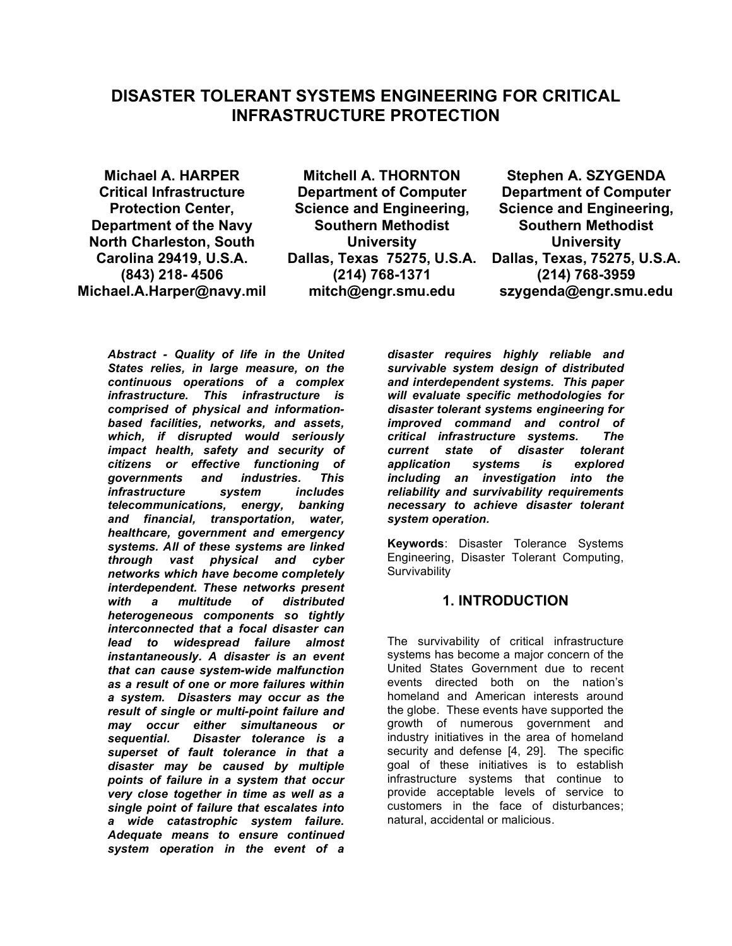# **DISASTER TOLERANT SYSTEMS ENGINEERING FOR CRITICAL INFRASTRUCTURE PROTECTION**

**Michael A. HARPER Critical Infrastructure Protection Center, Department of the Navy North Charleston, South Carolina 29419, U.S.A. (843) 218- 4506 Michael.A.Harper@navy.mil**

**Mitchell A. THORNTON Department of Computer Science and Engineering, Southern Methodist University Dallas, Texas 75275, U.S.A. (214) 768-1371 mitch@engr.smu.edu**

**Stephen A. SZYGENDA Department of Computer Science and Engineering, Southern Methodist University Dallas, Texas, 75275, U.S.A. (214) 768-3959 szygenda@engr.smu.edu**

*Abstract - Quality of life in the United States relies, in large measure, on the continuous operations of a complex infrastructure. This infrastructure is comprised of physical and informationbased facilities, networks, and assets, which, if disrupted would seriously impact health, safety and security of citizens or effective functioning of governments and industries. This infrastructure system includes telecommunications, energy, banking and financial, transportation, water, healthcare, government and emergency systems. All of these systems are linked through vast physical and cyber networks which have become completely interdependent. These networks present with a multitude of distributed heterogeneous components so tightly interconnected that a focal disaster can lead to widespread failure almost instantaneously. A disaster is an event that can cause system-wide malfunction as a result of one or more failures within a system. Disasters may occur as the result of single or multi-point failure and may occur either simultaneous or sequential. Disaster tolerance is a superset of fault tolerance in that a disaster may be caused by multiple points of failure in a system that occur very close together in time as well as a single point of failure that escalates into a wide catastrophic system failure. Adequate means to ensure continued system operation in the event of a*

*disaster requires highly reliable and survivable system design of distributed and interdependent systems. This paper will evaluate specific methodologies for disaster tolerant systems engineering for improved command and control of critical infrastructure systems. The current state of disaster tolerant application systems is explored including an investigation into the reliability and survivability requirements necessary to achieve disaster tolerant system operation.*

**Keywords**: Disaster Tolerance Systems Engineering, Disaster Tolerant Computing, **Survivability** 

#### **1. INTRODUCTION**

The survivability of critical infrastructure systems has become a major concern of the United States Government due to recent events directed both on the nation's homeland and American interests around the globe. These events have supported the growth of numerous government and industry initiatives in the area of homeland security and defense [4, 29]. The specific goal of these initiatives is to establish infrastructure systems that continue to provide acceptable levels of service to customers in the face of disturbances; natural, accidental or malicious.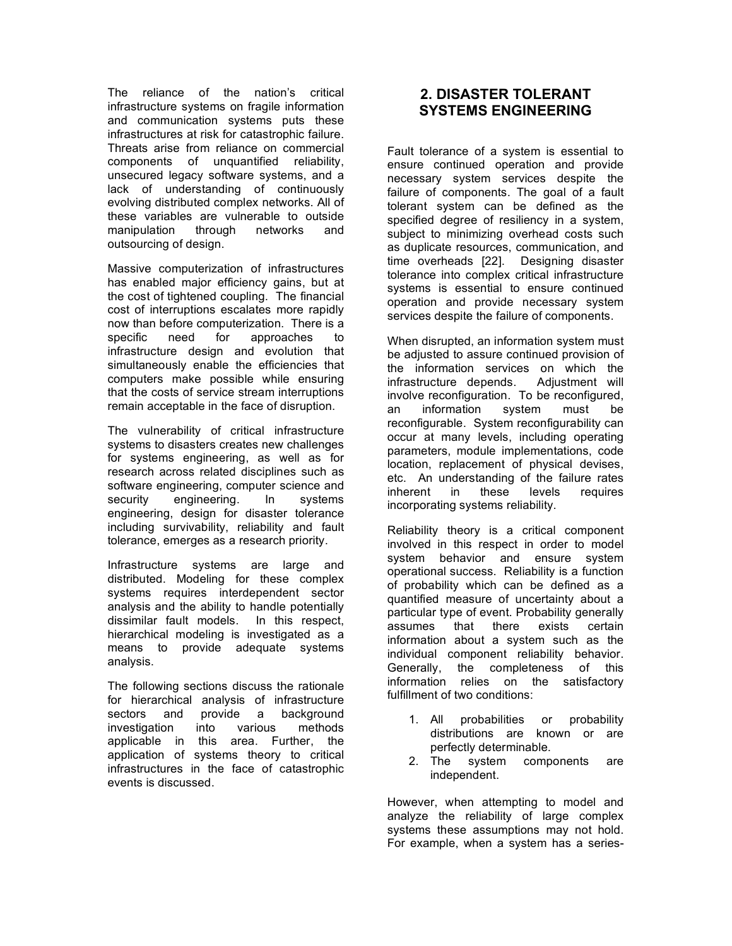The reliance of the nation's critical infrastructure systems on fragile information and communication systems puts these infrastructures at risk for catastrophic failure. Threats arise from reliance on commercial components of unquantified reliability, unsecured legacy software systems, and a lack of understanding of continuously evolving distributed complex networks. All of these variables are vulnerable to outside manipulation through networks and outsourcing of design.

Massive computerization of infrastructures has enabled major efficiency gains, but at the cost of tightened coupling. The financial cost of interruptions escalates more rapidly now than before computerization. There is a specific need for approaches to infrastructure design and evolution that simultaneously enable the efficiencies that computers make possible while ensuring that the costs of service stream interruptions remain acceptable in the face of disruption.

The vulnerability of critical infrastructure systems to disasters creates new challenges for systems engineering, as well as for research across related disciplines such as software engineering, computer science and security engineering. In systems engineering, design for disaster tolerance including survivability, reliability and fault tolerance, emerges as a research priority.

Infrastructure systems are large and distributed. Modeling for these complex systems requires interdependent sector analysis and the ability to handle potentially dissimilar fault models. In this respect, hierarchical modeling is investigated as a means to provide adequate systems analysis.

The following sections discuss the rationale for hierarchical analysis of infrastructure sectors and provide a background investigation into various methods applicable in this area. Further, the application of systems theory to critical infrastructures in the face of catastrophic events is discussed.

## **2. DISASTER TOLERANT SYSTEMS ENGINEERING**

Fault tolerance of a system is essential to ensure continued operation and provide necessary system services despite the failure of components. The goal of a fault tolerant system can be defined as the specified degree of resiliency in a system, subject to minimizing overhead costs such as duplicate resources, communication, and time overheads [22]. Designing disaster tolerance into complex critical infrastructure systems is essential to ensure continued operation and provide necessary system services despite the failure of components.

When disrupted, an information system must be adjusted to assure continued provision of the information services on which the infrastructure depends. Adjustment will involve reconfiguration. To be reconfigured, an information system must be reconfigurable. System reconfigurability can occur at many levels, including operating parameters, module implementations, code location, replacement of physical devises, etc. An understanding of the failure rates inherent in these levels requires incorporating systems reliability.

Reliability theory is a critical component involved in this respect in order to model system behavior and ensure system operational success. Reliability is a function of probability which can be defined as a quantified measure of uncertainty about a particular type of event. Probability generally assumes that there exists certain information about a system such as the individual component reliability behavior. Generally, the completeness of this information relies on the satisfactory fulfillment of two conditions:

- 1. All probabilities or probability distributions are known or are perfectly determinable.
- 2. The system components are independent.

However, when attempting to model and analyze the reliability of large complex systems these assumptions may not hold. For example, when a system has a series-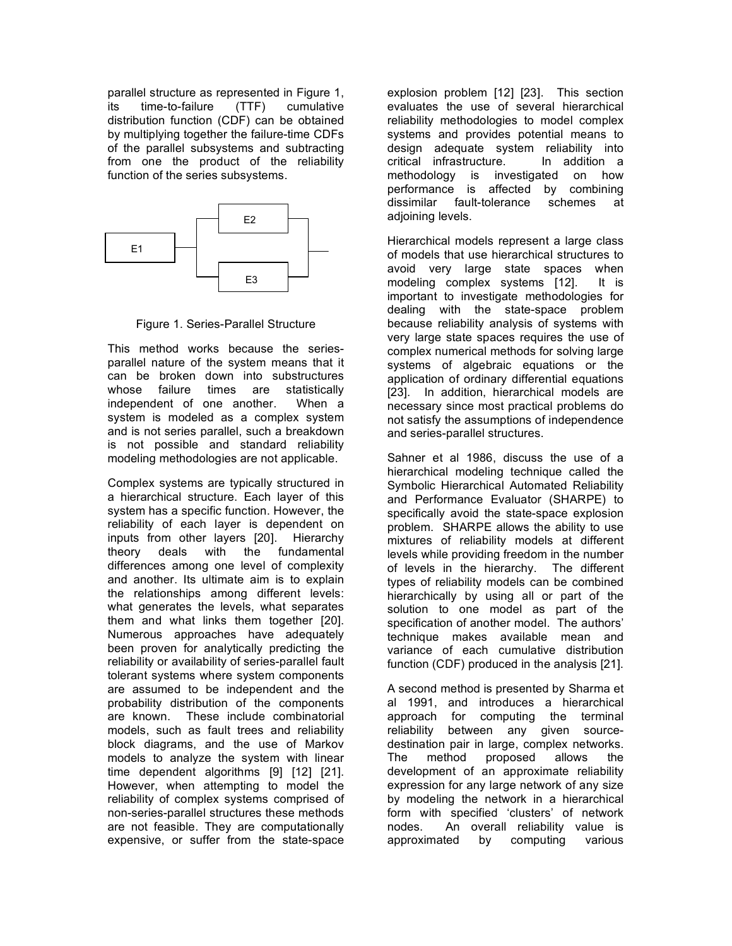parallel structure as represented in Figure 1, its time-to-failure (TTF) cumulative distribution function (CDF) can be obtained by multiplying together the failure-time CDFs of the parallel subsystems and subtracting from one the product of the reliability function of the series subsystems.



Figure 1. Series-Parallel Structure

This method works because the seriesparallel nature of the system means that it can be broken down into substructures whose failure times are statistically independent of one another. When a system is modeled as a complex system and is not series parallel, such a breakdown is not possible and standard reliability modeling methodologies are not applicable.

Complex systems are typically structured in a hierarchical structure. Each layer of this system has a specific function. However, the reliability of each layer is dependent on inputs from other layers [20]. Hierarchy theory deals with the fundamental differences among one level of complexity and another. Its ultimate aim is to explain the relationships among different levels: what generates the levels, what separates them and what links them together [20]. Numerous approaches have adequately been proven for analytically predicting the reliability or availability of series-parallel fault tolerant systems where system components are assumed to be independent and the probability distribution of the components are known. These include combinatorial models, such as fault trees and reliability block diagrams, and the use of Markov models to analyze the system with linear time dependent algorithms [9] [12] [21]. However, when attempting to model the reliability of complex systems comprised of non-series-parallel structures these methods are not feasible. They are computationally expensive, or suffer from the state-space

explosion problem [12] [23]. This section evaluates the use of several hierarchical reliability methodologies to model complex systems and provides potential means to design adequate system reliability into critical infrastructure. In addition a methodology is investigated on how performance is affected by combining dissimilar fault-tolerance schemes at adjoining levels.

Hierarchical models represent a large class of models that use hierarchical structures to avoid very large state spaces when modeling complex systems [12]. It is important to investigate methodologies for dealing with the state-space problem because reliability analysis of systems with very large state spaces requires the use of complex numerical methods for solving large systems of algebraic equations or the application of ordinary differential equations [23]. In addition, hierarchical models are necessary since most practical problems do not satisfy the assumptions of independence and series-parallel structures.

Sahner et al 1986, discuss the use of a hierarchical modeling technique called the Symbolic Hierarchical Automated Reliability and Performance Evaluator (SHARPE) to specifically avoid the state-space explosion problem. SHARPE allows the ability to use mixtures of reliability models at different levels while providing freedom in the number of levels in the hierarchy. The different types of reliability models can be combined hierarchically by using all or part of the solution to one model as part of the specification of another model. The authors' technique makes available mean and variance of each cumulative distribution function (CDF) produced in the analysis [21].

A second method is presented by Sharma et al 1991, and introduces a hierarchical approach for computing the terminal reliability between any given sourcedestination pair in large, complex networks. The method proposed allows the development of an approximate reliability expression for any large network of any size by modeling the network in a hierarchical form with specified 'clusters' of network nodes. An overall reliability value is approximated by computing various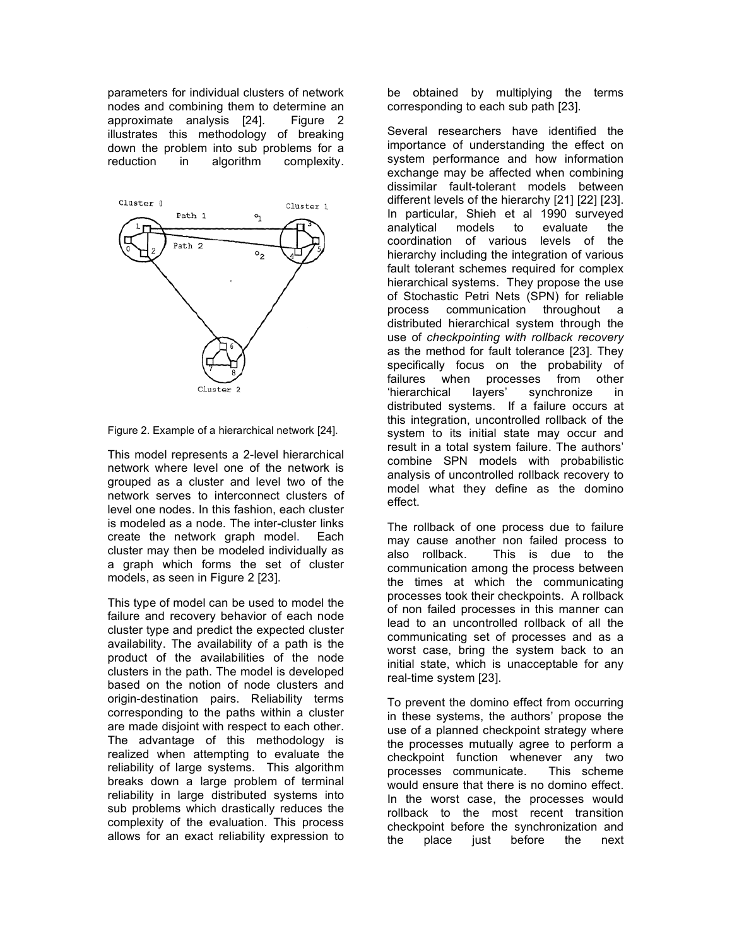parameters for individual clusters of network nodes and combining them to determine an approximate analysis [24]. Figure 2 illustrates this methodology of breaking down the problem into sub problems for a reduction in algorithm complexity.



Figure 2. Example of a hierarchical network [24].

This model represents a 2-level hierarchical network where level one of the network is grouped as a cluster and level two of the network serves to interconnect clusters of level one nodes. In this fashion, each cluster is modeled as a node. The inter-cluster links create the network graph model. Each cluster may then be modeled individually as a graph which forms the set of cluster models, as seen in Figure 2 [23].

This type of model can be used to model the failure and recovery behavior of each node cluster type and predict the expected cluster availability. The availability of a path is the product of the availabilities of the node clusters in the path. The model is developed based on the notion of node clusters and origin-destination pairs. Reliability terms corresponding to the paths within a cluster are made disjoint with respect to each other. The advantage of this methodology is realized when attempting to evaluate the reliability of large systems. This algorithm breaks down a large problem of terminal reliability in large distributed systems into sub problems which drastically reduces the complexity of the evaluation. This process allows for an exact reliability expression to

be obtained by multiplying the terms corresponding to each sub path [23].

Several researchers have identified the importance of understanding the effect on system performance and how information exchange may be affected when combining dissimilar fault-tolerant models between different levels of the hierarchy [21] [22] [23]. In particular, Shieh et al 1990 surveyed analytical models to evaluate the coordination of various levels of the hierarchy including the integration of various fault tolerant schemes required for complex hierarchical systems. They propose the use of Stochastic Petri Nets (SPN) for reliable process communication throughout a distributed hierarchical system through the use of *checkpointing with rollback recovery* as the method for fault tolerance [23]. They specifically focus on the probability of failures when processes from other 'hierarchical layers' synchronize in distributed systems. If a failure occurs at this integration, uncontrolled rollback of the system to its initial state may occur and result in a total system failure. The authors' combine SPN models with probabilistic analysis of uncontrolled rollback recovery to model what they define as the domino effect.

The rollback of one process due to failure may cause another non failed process to also rollback. This is due to the communication among the process between the times at which the communicating processes took their checkpoints. A rollback of non failed processes in this manner can lead to an uncontrolled rollback of all the communicating set of processes and as a worst case, bring the system back to an initial state, which is unacceptable for any real-time system [23].

To prevent the domino effect from occurring in these systems, the authors' propose the use of a planned checkpoint strategy where the processes mutually agree to perform a checkpoint function whenever any two processes communicate. This scheme would ensure that there is no domino effect. In the worst case, the processes would rollback to the most recent transition checkpoint before the synchronization and the place just before the next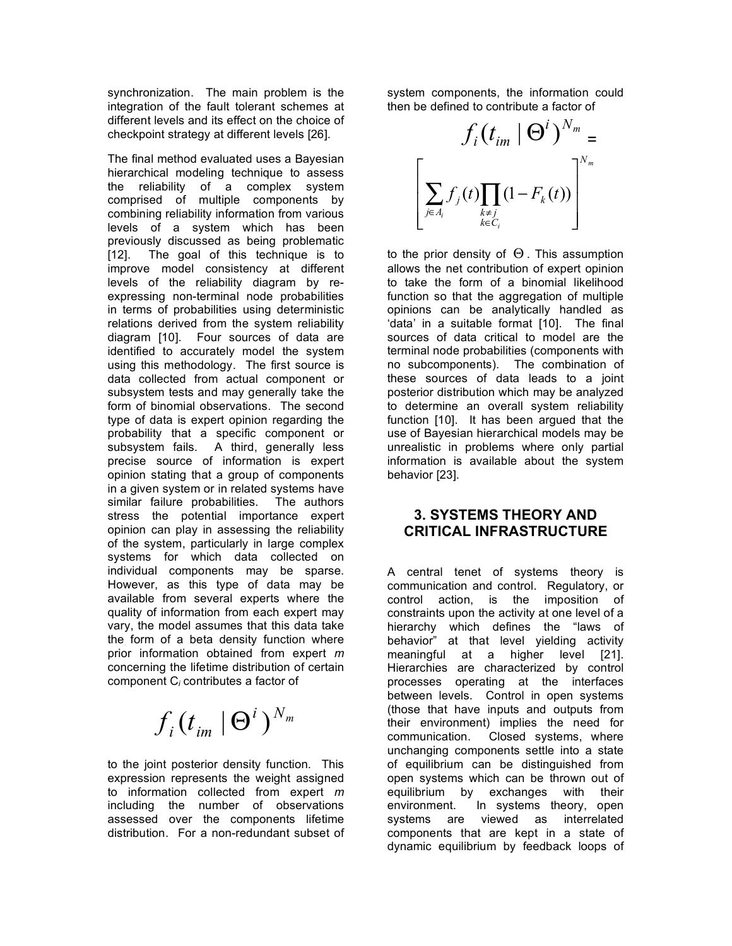synchronization. The main problem is the integration of the fault tolerant schemes at different levels and its effect on the choice of checkpoint strategy at different levels [26].

The final method evaluated uses a Bayesian hierarchical modeling technique to assess the reliability of a complex system comprised of multiple components by combining reliability information from various levels of a system which has been previously discussed as being problematic [12]. The goal of this technique is to improve model consistency at different levels of the reliability diagram by reexpressing non-terminal node probabilities in terms of probabilities using deterministic relations derived from the system reliability diagram [10]. Four sources of data are identified to accurately model the system using this methodology. The first source is data collected from actual component or subsystem tests and may generally take the form of binomial observations. The second type of data is expert opinion regarding the probability that a specific component or subsystem fails. A third, generally less precise source of information is expert opinion stating that a group of components in a given system or in related systems have similar failure probabilities. The authors stress the potential importance expert opinion can play in assessing the reliability of the system, particularly in large complex systems for which data collected on individual components may be sparse. However, as this type of data may be available from several experts where the quality of information from each expert may vary, the model assumes that this data take the form of a beta density function where prior information obtained from expert *m* concerning the lifetime distribution of certain component C*<sup>i</sup>* contributes a factor of

 $f_i(t_{_{im}} \, | \, \Theta^i)^{N_m}$ 

to the joint posterior density function. This expression represents the weight assigned to information collected from expert *m* including the number of observations assessed over the components lifetime distribution. For a non-redundant subset of

system components, the information could then be defined to contribute a factor of



to the prior density of  $\Theta$  . This assumption allows the net contribution of expert opinion to take the form of a binomial likelihood function so that the aggregation of multiple opinions can be analytically handled as 'data' in a suitable format [10]. The final sources of data critical to model are the terminal node probabilities (components with no subcomponents). The combination of these sources of data leads to a joint posterior distribution which may be analyzed to determine an overall system reliability function [10]. It has been argued that the use of Bayesian hierarchical models may be unrealistic in problems where only partial information is available about the system behavior [23].

### **3. SYSTEMS THEORY AND CRITICAL INFRASTRUCTURE**

A central tenet of systems theory is communication and control. Regulatory, or control action, is the imposition of constraints upon the activity at one level of a hierarchy which defines the "laws of behavior" at that level yielding activity meaningful at a higher level [21]. Hierarchies are characterized by control processes operating at the interfaces between levels. Control in open systems (those that have inputs and outputs from their environment) implies the need for communication. Closed systems, where unchanging components settle into a state of equilibrium can be distinguished from open systems which can be thrown out of equilibrium by exchanges with their environment. In systems theory, open systems are viewed as interrelated components that are kept in a state of dynamic equilibrium by feedback loops of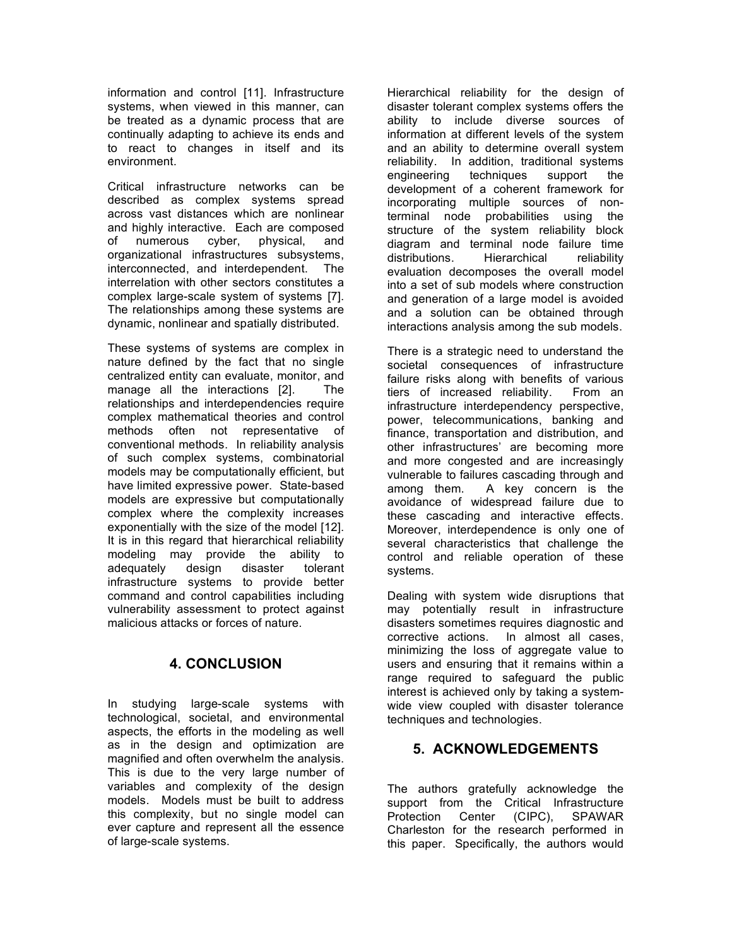information and control [11]. Infrastructure systems, when viewed in this manner, can be treated as a dynamic process that are continually adapting to achieve its ends and to react to changes in itself and its environment.

Critical infrastructure networks can be described as complex systems spread across vast distances which are nonlinear and highly interactive. Each are composed of numerous cyber, physical, and organizational infrastructures subsystems, interconnected, and interdependent. The interrelation with other sectors constitutes a complex large-scale system of systems [7]. The relationships among these systems are dynamic, nonlinear and spatially distributed.

These systems of systems are complex in nature defined by the fact that no single centralized entity can evaluate, monitor, and manage all the interactions [2]. The relationships and interdependencies require complex mathematical theories and control methods often not representative of conventional methods. In reliability analysis of such complex systems, combinatorial models may be computationally efficient, but have limited expressive power. State-based models are expressive but computationally complex where the complexity increases exponentially with the size of the model [12]. It is in this regard that hierarchical reliability modeling may provide the ability to adequately design disaster tolerant infrastructure systems to provide better command and control capabilities including vulnerability assessment to protect against malicious attacks or forces of nature.

## **4. CONCLUSION**

In studying large-scale systems with technological, societal, and environmental aspects, the efforts in the modeling as well as in the design and optimization are magnified and often overwhelm the analysis. This is due to the very large number of variables and complexity of the design models. Models must be built to address this complexity, but no single model can ever capture and represent all the essence of large-scale systems.

Hierarchical reliability for the design of disaster tolerant complex systems offers the ability to include diverse sources of information at different levels of the system and an ability to determine overall system reliability. In addition, traditional systems engineering techniques support the development of a coherent framework for incorporating multiple sources of nonterminal node probabilities using the structure of the system reliability block diagram and terminal node failure time distributions. Hierarchical reliability evaluation decomposes the overall model into a set of sub models where construction and generation of a large model is avoided and a solution can be obtained through interactions analysis among the sub models.

There is a strategic need to understand the societal consequences of infrastructure failure risks along with benefits of various tiers of increased reliability. From an infrastructure interdependency perspective, power, telecommunications, banking and finance, transportation and distribution, and other infrastructures' are becoming more and more congested and are increasingly vulnerable to failures cascading through and among them. A key concern is the avoidance of widespread failure due to these cascading and interactive effects. Moreover, interdependence is only one of several characteristics that challenge the control and reliable operation of these systems.

Dealing with system wide disruptions that may potentially result in infrastructure disasters sometimes requires diagnostic and corrective actions. In almost all cases, minimizing the loss of aggregate value to users and ensuring that it remains within a range required to safeguard the public interest is achieved only by taking a systemwide view coupled with disaster tolerance techniques and technologies.

# **5. ACKNOWLEDGEMENTS**

The authors gratefully acknowledge the support from the Critical Infrastructure Protection Center (CIPC), SPAWAR Charleston for the research performed in this paper. Specifically, the authors would